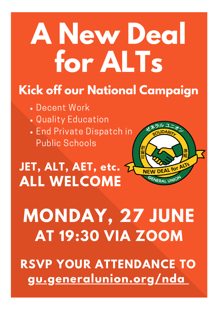# **A New Deal for ALTs**

## **Kick off our National Campaign**

- Decent Work
- Quality Education
- End Private Dispatch in Public Schools



## **ALL WELCOME JET, ALT, AET, etc.**

**MONDAY, 27 JUNE AT 19:30 VIA ZOOM**

**RSVP YOUR ATTENDANCE TO [gu.generalunion.org/nda](https://gu.generalunion.org/nda)**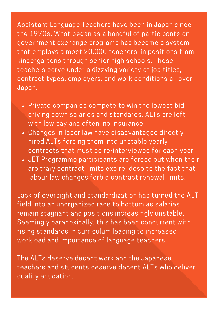Assistant Language Teachers have been in Japan since the 1970s. What began as a handful of participants on government exchange programs has become a system that employs almost 20,000 teachers in positions from kindergartens through senior high schools. These teachers serve under a dizzying variety of job titles, contract types, employers, and work conditions all over Japan.

- Private companies compete to win the lowest bid driving down salaries and standards. ALTs are left with low pay and often, no insurance.
- Changes in labor law have disadvantaged directly hired ALTs forcing them into unstable yearly contracts that must be re-interviewed for each year.
- JET Programme participants are forced out when their arbitrary contract limits expire, despite the fact that labour law changes forbid contract renewal limits.

Lack of oversight and standardization has turned the ALT field into an unorganized race to bottom as salaries remain stagnant and positions increasingly unstable. Seemingly paradoxically, this has been concurrent with rising standards in curriculum leading to increased workload and importance of language teachers.

The ALTs deserve decent work and the Japanese teachers and students deserve decent ALTs who deliver quality education.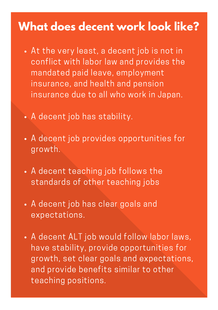### **What does decent work look like?**

- At the very least, a decent job is not in conflict with labor law and provides the mandated paid leave, employment insurance, and health and pension insurance due to all who work in Japan.
- A decent job has stability.
- A decent job provides opportunities for growth.
- A decent teaching job follows the standards of other teaching jobs
- A decent job has clear goals and expectations.
- A decent ALT job would follow labor laws, have stability, provide opportunities for growth, set clear goals and expectations, and provide benefits similar to other teaching positions.